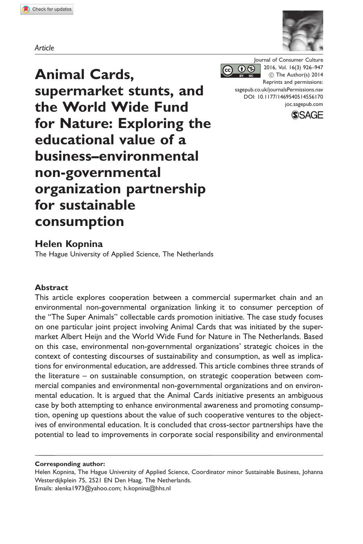Article



Animal Cards, supermarket stunts, and the World Wide Fund for Nature: Exploring the educational value of a business–environmental non-governmental organization partnership for sustainable consumption

#### Journal of Consumer Culture  $\overline{G}$  0  $\circledcirc$ 2016, Vol. 16(3) 926–947  $\circ$  The Author(s) 2014

Reprints and permissions: sagepub.co.uk/journalsPermissions.nav DOI: 10.1177/1469540514556170 joc.sagepub.com



# Helen Kopnina

The Hague University of Applied Science, The Netherlands

## Abstract

This article explores cooperation between a commercial supermarket chain and an environmental non-governmental organization linking it to consumer perception of the ''The Super Animals'' collectable cards promotion initiative. The case study focuses on one particular joint project involving Animal Cards that was initiated by the supermarket Albert Heijn and the World Wide Fund for Nature in The Netherlands. Based on this case, environmental non-governmental organizations' strategic choices in the context of contesting discourses of sustainability and consumption, as well as implications for environmental education, are addressed. This article combines three strands of the literature – on sustainable consumption, on strategic cooperation between commercial companies and environmental non-governmental organizations and on environmental education. It is argued that the Animal Cards initiative presents an ambiguous case by both attempting to enhance environmental awareness and promoting consumption, opening up questions about the value of such cooperative ventures to the objectives of environmental education. It is concluded that cross-sector partnerships have the potential to lead to improvements in corporate social responsibility and environmental

Corresponding author:

Helen Kopnina, The Hague University of Applied Science, Coordinator minor Sustainable Business, Johanna Westerdijkplein 75, 2521 EN Den Haag, The Netherlands. Emails: alenka1973@yahoo.com; h.kopnina@hhs.nl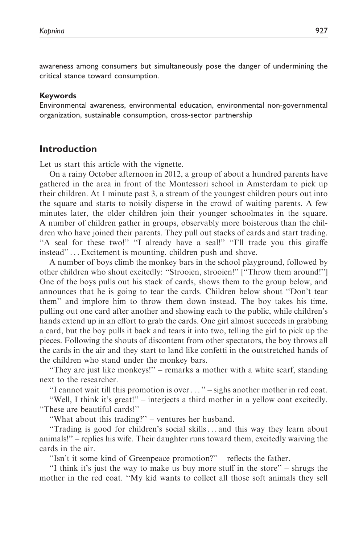awareness among consumers but simultaneously pose the danger of undermining the critical stance toward consumption.

#### Keywords

Environmental awareness, environmental education, environmental non-governmental organization, sustainable consumption, cross-sector partnership

## Introduction

Let us start this article with the vignette.

On a rainy October afternoon in 2012, a group of about a hundred parents have gathered in the area in front of the Montessori school in Amsterdam to pick up their children. At 1 minute past 3, a stream of the youngest children pours out into the square and starts to noisily disperse in the crowd of waiting parents. A few minutes later, the older children join their younger schoolmates in the square. A number of children gather in groups, observably more boisterous than the children who have joined their parents. They pull out stacks of cards and start trading. "A seal for these two!" "I already have a seal!" "I'll trade you this giraffe instead'' ... Excitement is mounting, children push and shove.

A number of boys climb the monkey bars in the school playground, followed by other children who shout excitedly: ''Strooien, strooien!'' [''Throw them around!''] One of the boys pulls out his stack of cards, shows them to the group below, and announces that he is going to tear the cards. Children below shout ''Don't tear them'' and implore him to throw them down instead. The boy takes his time, pulling out one card after another and showing each to the public, while children's hands extend up in an effort to grab the cards. One girl almost succeeds in grabbing a card, but the boy pulls it back and tears it into two, telling the girl to pick up the pieces. Following the shouts of discontent from other spectators, the boy throws all the cards in the air and they start to land like confetti in the outstretched hands of the children who stand under the monkey bars.

''They are just like monkeys!'' – remarks a mother with a white scarf, standing next to the researcher.

''I cannot wait till this promotion is over... '' – sighs another mother in red coat.

''Well, I think it's great!'' – interjects a third mother in a yellow coat excitedly. ''These are beautiful cards!''

''What about this trading?'' – ventures her husband.

''Trading is good for children's social skills... and this way they learn about animals!'' – replies his wife. Their daughter runs toward them, excitedly waiving the cards in the air.

''Isn't it some kind of Greenpeace promotion?'' – reflects the father.

''I think it's just the way to make us buy more stuff in the store'' – shrugs the mother in the red coat. ''My kid wants to collect all those soft animals they sell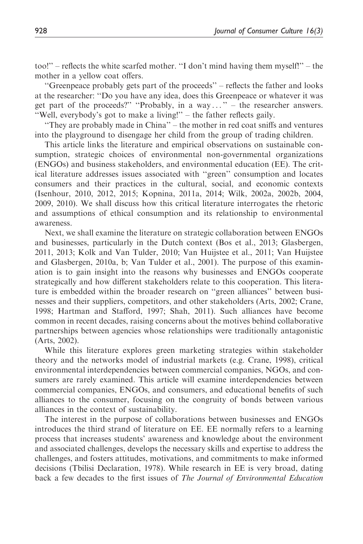too!'' – reflects the white scarfed mother. ''I don't mind having them myself!'' – the mother in a yellow coat offers.

''Greenpeace probably gets part of the proceeds'' – reflects the father and looks at the researcher: ''Do you have any idea, does this Greenpeace or whatever it was get part of the proceeds?" "Probably, in a way  $\dots$ " – the researcher answers. "Well, everybody's got to make a living!" – the father reflects gaily.

''They are probably made in China'' – the mother in red coat sniffs and ventures into the playground to disengage her child from the group of trading children.

This article links the literature and empirical observations on sustainable consumption, strategic choices of environmental non-governmental organizations (ENGOs) and business stakeholders, and environmental education (EE). The critical literature addresses issues associated with ''green'' consumption and locates consumers and their practices in the cultural, social, and economic contexts (Isenhour, 2010, 2012, 2015; Kopnina, 2011a, 2014; Wilk, 2002a, 2002b, 2004, 2009, 2010). We shall discuss how this critical literature interrogates the rhetoric and assumptions of ethical consumption and its relationship to environmental awareness.

Next, we shall examine the literature on strategic collaboration between ENGOs and businesses, particularly in the Dutch context (Bos et al., 2013; Glasbergen, 2011, 2013; Kolk and Van Tulder, 2010; Van Huijstee et al., 2011; Van Huijstee and Glasbergen, 2010a, b; Van Tulder et al., 2001). The purpose of this examination is to gain insight into the reasons why businesses and ENGOs cooperate strategically and how different stakeholders relate to this cooperation. This literature is embedded within the broader research on ''green alliances'' between businesses and their suppliers, competitors, and other stakeholders (Arts, 2002; Crane, 1998; Hartman and Stafford, 1997; Shah, 2011). Such alliances have become common in recent decades, raising concerns about the motives behind collaborative partnerships between agencies whose relationships were traditionally antagonistic (Arts, 2002).

While this literature explores green marketing strategies within stakeholder theory and the networks model of industrial markets (e.g. Crane, 1998), critical environmental interdependencies between commercial companies, NGOs, and consumers are rarely examined. This article will examine interdependencies between commercial companies, ENGOs, and consumers, and educational benefits of such alliances to the consumer, focusing on the congruity of bonds between various alliances in the context of sustainability.

The interest in the purpose of collaborations between businesses and ENGOs introduces the third strand of literature on EE. EE normally refers to a learning process that increases students' awareness and knowledge about the environment and associated challenges, develops the necessary skills and expertise to address the challenges, and fosters attitudes, motivations, and commitments to make informed decisions (Tbilisi Declaration, 1978). While research in EE is very broad, dating back a few decades to the first issues of The Journal of Environmental Education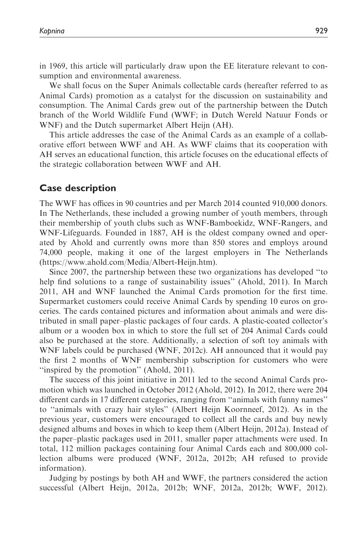in 1969, this article will particularly draw upon the EE literature relevant to consumption and environmental awareness.

We shall focus on the Super Animals collectable cards (hereafter referred to as Animal Cards) promotion as a catalyst for the discussion on sustainability and consumption. The Animal Cards grew out of the partnership between the Dutch branch of the World Wildlife Fund (WWF; in Dutch Wereld Natuur Fonds or WNF) and the Dutch supermarket Albert Heijn (AH).

This article addresses the case of the Animal Cards as an example of a collaborative effort between WWF and AH. As WWF claims that its cooperation with AH serves an educational function, this article focuses on the educational effects of the strategic collaboration between WWF and AH.

### Case description

The WWF has offices in 90 countries and per March 2014 counted 910,000 donors. In The Netherlands, these included a growing number of youth members, through their membership of youth clubs such as WNF-Bamboekidz, WNF-Rangers, and WNF-Lifeguards. Founded in 1887, AH is the oldest company owned and operated by Ahold and currently owns more than 850 stores and employs around 74,000 people, making it one of the largest employers in The Netherlands (<https://www.ahold.com/Media/Albert-Heijn.htm>).

Since 2007, the partnership between these two organizations has developed ''to help find solutions to a range of sustainability issues'' (Ahold, 2011). In March 2011, AH and WNF launched the Animal Cards promotion for the first time. Supermarket customers could receive Animal Cards by spending 10 euros on groceries. The cards contained pictures and information about animals and were distributed in small paper–plastic packages of four cards. A plastic-coated collector's album or a wooden box in which to store the full set of 204 Animal Cards could also be purchased at the store. Additionally, a selection of soft toy animals with WNF labels could be purchased (WNF, 2012c). AH announced that it would pay the first 2 months of WNF membership subscription for customers who were ''inspired by the promotion'' (Ahold, 2011).

The success of this joint initiative in 2011 led to the second Animal Cards promotion which was launched in October 2012 (Ahold, 2012). In 2012, there were 204 different cards in 17 different categories, ranging from ''animals with funny names'' to ''animals with crazy hair styles'' (Albert Heijn Koornneef, 2012). As in the previous year, customers were encouraged to collect all the cards and buy newly designed albums and boxes in which to keep them (Albert Heijn, 2012a). Instead of the paper–plastic packages used in 2011, smaller paper attachments were used. In total, 112 million packages containing four Animal Cards each and 800,000 collection albums were produced (WNF, 2012a, 2012b; AH refused to provide information).

Judging by postings by both AH and WWF, the partners considered the action successful (Albert Heijn, 2012a, 2012b; WNF, 2012a, 2012b; WWF, 2012).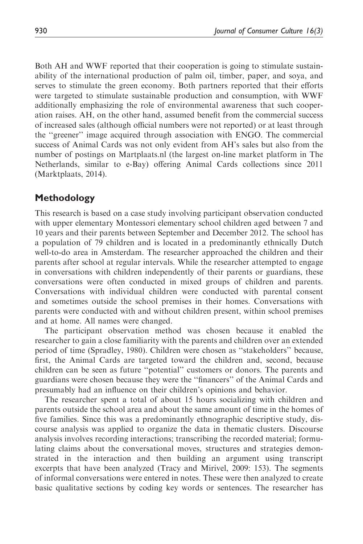Both AH and WWF reported that their cooperation is going to stimulate sustainability of the international production of palm oil, timber, paper, and soya, and serves to stimulate the green economy. Both partners reported that their efforts were targeted to stimulate sustainable production and consumption, with WWF additionally emphasizing the role of environmental awareness that such cooperation raises. AH, on the other hand, assumed benefit from the commercial success of increased sales (although official numbers were not reported) or at least through the ''greener'' image acquired through association with ENGO. The commercial success of Animal Cards was not only evident from AH's sales but also from the number of postings on Martplaats.nl (the largest on-line market platform in The Netherlands, similar to e-Bay) offering Animal Cards collections since 2011 (Marktplaats, 2014).

# Methodology

This research is based on a case study involving participant observation conducted with upper elementary Montessori elementary school children aged between 7 and 10 years and their parents between September and December 2012. The school has a population of 79 children and is located in a predominantly ethnically Dutch well-to-do area in Amsterdam. The researcher approached the children and their parents after school at regular intervals. While the researcher attempted to engage in conversations with children independently of their parents or guardians, these conversations were often conducted in mixed groups of children and parents. Conversations with individual children were conducted with parental consent and sometimes outside the school premises in their homes. Conversations with parents were conducted with and without children present, within school premises and at home. All names were changed.

The participant observation method was chosen because it enabled the researcher to gain a close familiarity with the parents and children over an extended period of time (Spradley, 1980). Children were chosen as ''stakeholders'' because, first, the Animal Cards are targeted toward the children and, second, because children can be seen as future ''potential'' customers or donors. The parents and guardians were chosen because they were the ''financers'' of the Animal Cards and presumably had an influence on their children's opinions and behavior.

The researcher spent a total of about 15 hours socializing with children and parents outside the school area and about the same amount of time in the homes of five families. Since this was a predominantly ethnographic descriptive study, discourse analysis was applied to organize the data in thematic clusters. Discourse analysis involves recording interactions; transcribing the recorded material; formulating claims about the conversational moves, structures and strategies demonstrated in the interaction and then building an argument using transcript excerpts that have been analyzed (Tracy and Mirivel, 2009: 153). The segments of informal conversations were entered in notes. These were then analyzed to create basic qualitative sections by coding key words or sentences. The researcher has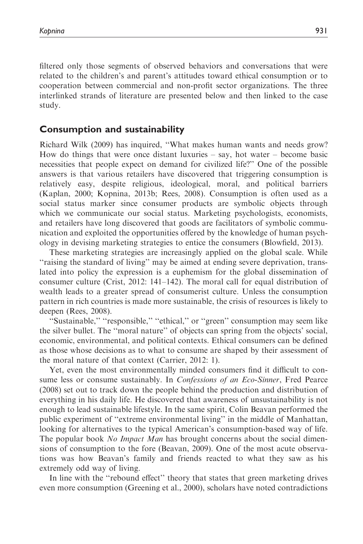filtered only those segments of observed behaviors and conversations that were related to the children's and parent's attitudes toward ethical consumption or to cooperation between commercial and non-profit sector organizations. The three interlinked strands of literature are presented below and then linked to the case study.

# Consumption and sustainability

Richard Wilk (2009) has inquired, ''What makes human wants and needs grow? How do things that were once distant luxuries – say, hot water – become basic necessities that people expect on demand for civilized life?'' One of the possible answers is that various retailers have discovered that triggering consumption is relatively easy, despite religious, ideological, moral, and political barriers (Kaplan, 2000; Kopnina, 2013b; Rees, 2008). Consumption is often used as a social status marker since consumer products are symbolic objects through which we communicate our social status. Marketing psychologists, economists, and retailers have long discovered that goods are facilitators of symbolic communication and exploited the opportunities offered by the knowledge of human psychology in devising marketing strategies to entice the consumers (Blowfield, 2013).

These marketing strategies are increasingly applied on the global scale. While ''raising the standard of living'' may be aimed at ending severe deprivation, translated into policy the expression is a euphemism for the global dissemination of consumer culture (Crist, 2012: 141–142). The moral call for equal distribution of wealth leads to a greater spread of consumerist culture. Unless the consumption pattern in rich countries is made more sustainable, the crisis of resources is likely to deepen (Rees, 2008).

''Sustainable,'' ''responsible,'' ''ethical,'' or ''green'' consumption may seem like the silver bullet. The ''moral nature'' of objects can spring from the objects' social, economic, environmental, and political contexts. Ethical consumers can be defined as those whose decisions as to what to consume are shaped by their assessment of the moral nature of that context (Carrier, 2012: 1).

Yet, even the most environmentally minded consumers find it difficult to consume less or consume sustainably. In Confessions of an Eco-Sinner, Fred Pearce (2008) set out to track down the people behind the production and distribution of everything in his daily life. He discovered that awareness of unsustainability is not enough to lead sustainable lifestyle. In the same spirit, Colin Beavan performed the public experiment of ''extreme environmental living'' in the middle of Manhattan, looking for alternatives to the typical American's consumption-based way of life. The popular book *No Impact Man* has brought concerns about the social dimensions of consumption to the fore (Beavan, 2009). One of the most acute observations was how Beavan's family and friends reacted to what they saw as his extremely odd way of living.

In line with the ''rebound effect'' theory that states that green marketing drives even more consumption (Greening et al., 2000), scholars have noted contradictions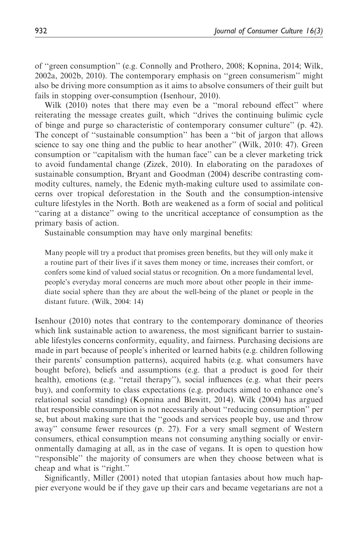of ''green consumption'' (e.g. Connolly and Prothero, 2008; Kopnina, 2014; Wilk, 2002a, 2002b, 2010). The contemporary emphasis on ''green consumerism'' might also be driving more consumption as it aims to absolve consumers of their guilt but fails in stopping over-consumption (Isenhour, 2010).

Wilk (2010) notes that there may even be a "moral rebound effect" where reiterating the message creates guilt, which ''drives the continuing bulimic cycle of binge and purge so characteristic of contemporary consumer culture'' (p. 42). The concept of ''sustainable consumption'' has been a ''bit of jargon that allows science to say one thing and the public to hear another'' (Wilk, 2010: 47). Green consumption or ''capitalism with the human face'' can be a clever marketing trick to avoid fundamental change (Zizek, 2010). In elaborating on the paradoxes of sustainable consumption, Bryant and Goodman (2004) describe contrasting commodity cultures, namely, the Edenic myth-making culture used to assimilate concerns over tropical deforestation in the South and the consumption-intensive culture lifestyles in the North. Both are weakened as a form of social and political ''caring at a distance'' owing to the uncritical acceptance of consumption as the primary basis of action.

Sustainable consumption may have only marginal benefits:

Many people will try a product that promises green benefits, but they will only make it a routine part of their lives if it saves them money or time, increases their comfort, or confers some kind of valued social status or recognition. On a more fundamental level, people's everyday moral concerns are much more about other people in their immediate social sphere than they are about the well-being of the planet or people in the distant future. (Wilk, 2004: 14)

Isenhour (2010) notes that contrary to the contemporary dominance of theories which link sustainable action to awareness, the most significant barrier to sustainable lifestyles concerns conformity, equality, and fairness. Purchasing decisions are made in part because of people's inherited or learned habits (e.g. children following their parents' consumption patterns), acquired habits (e.g. what consumers have bought before), beliefs and assumptions (e.g. that a product is good for their health), emotions (e.g. ''retail therapy''), social influences (e.g. what their peers buy), and conformity to class expectations (e.g. products aimed to enhance one's relational social standing) (Kopnina and Blewitt, 2014). Wilk (2004) has argued that responsible consumption is not necessarily about ''reducing consumption'' per se, but about making sure that the ''goods and services people buy, use and throw away'' consume fewer resources (p. 27). For a very small segment of Western consumers, ethical consumption means not consuming anything socially or environmentally damaging at all, as in the case of vegans. It is open to question how ''responsible'' the majority of consumers are when they choose between what is cheap and what is ''right.''

Significantly, Miller (2001) noted that utopian fantasies about how much happier everyone would be if they gave up their cars and became vegetarians are not a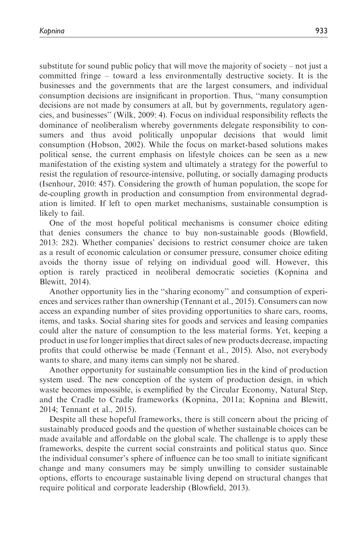substitute for sound public policy that will move the majority of society – not just a committed fringe – toward a less environmentally destructive society. It is the businesses and the governments that are the largest consumers, and individual consumption decisions are insignificant in proportion. Thus, ''many consumption decisions are not made by consumers at all, but by governments, regulatory agencies, and businesses'' (Wilk, 2009: 4). Focus on individual responsibility reflects the dominance of neoliberalism whereby governments delegate responsibility to consumers and thus avoid politically unpopular decisions that would limit consumption (Hobson, 2002). While the focus on market-based solutions makes political sense, the current emphasis on lifestyle choices can be seen as a new manifestation of the existing system and ultimately a strategy for the powerful to resist the regulation of resource-intensive, polluting, or socially damaging products (Isenhour, 2010: 457). Considering the growth of human population, the scope for de-coupling growth in production and consumption from environmental degradation is limited. If left to open market mechanisms, sustainable consumption is likely to fail.

One of the most hopeful political mechanisms is consumer choice editing that denies consumers the chance to buy non-sustainable goods (Blowfield, 2013: 282). Whether companies' decisions to restrict consumer choice are taken as a result of economic calculation or consumer pressure, consumer choice editing avoids the thorny issue of relying on individual good will. However, this option is rarely practiced in neoliberal democratic societies (Kopnina and Blewitt, 2014).

Another opportunity lies in the ''sharing economy'' and consumption of experiences and services rather than ownership (Tennant et al., 2015). Consumers can now access an expanding number of sites providing opportunities to share cars, rooms, items, and tasks. Social sharing sites for goods and services and leasing companies could alter the nature of consumption to the less material forms. Yet, keeping a product in use for longer implies that direct sales of new products decrease, impacting profits that could otherwise be made (Tennant et al., 2015). Also, not everybody wants to share, and many items can simply not be shared.

Another opportunity for sustainable consumption lies in the kind of production system used. The new conception of the system of production design, in which waste becomes impossible, is exemplified by the Circular Economy, Natural Step, and the Cradle to Cradle frameworks (Kopnina, 2011a; Kopnina and Blewitt, 2014; Tennant et al., 2015).

Despite all these hopeful frameworks, there is still concern about the pricing of sustainably produced goods and the question of whether sustainable choices can be made available and affordable on the global scale. The challenge is to apply these frameworks, despite the current social constraints and political status quo. Since the individual consumer's sphere of influence can be too small to initiate significant change and many consumers may be simply unwilling to consider sustainable options, efforts to encourage sustainable living depend on structural changes that require political and corporate leadership (Blowfield, 2013).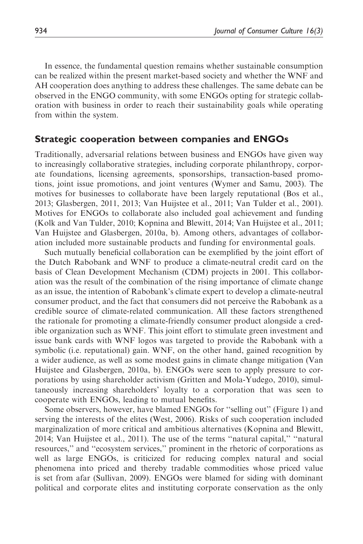In essence, the fundamental question remains whether sustainable consumption can be realized within the present market-based society and whether the WNF and AH cooperation does anything to address these challenges. The same debate can be observed in the ENGO community, with some ENGOs opting for strategic collaboration with business in order to reach their sustainability goals while operating from within the system.

### Strategic cooperation between companies and ENGOs

Traditionally, adversarial relations between business and ENGOs have given way to increasingly collaborative strategies, including corporate philanthropy, corporate foundations, licensing agreements, sponsorships, transaction-based promotions, joint issue promotions, and joint ventures (Wymer and Samu, 2003). The motives for businesses to collaborate have been largely reputational (Bos et al., 2013; Glasbergen, 2011, 2013; Van Huijstee et al., 2011; Van Tulder et al., 2001). Motives for ENGOs to collaborate also included goal achievement and funding (Kolk and Van Tulder, 2010; Kopnina and Blewitt, 2014; Van Huijstee et al., 2011; Van Huijstee and Glasbergen, 2010a, b). Among others, advantages of collaboration included more sustainable products and funding for environmental goals.

Such mutually beneficial collaboration can be exemplified by the joint effort of the Dutch Rabobank and WNF to produce a climate-neutral credit card on the basis of Clean Development Mechanism (CDM) projects in 2001. This collaboration was the result of the combination of the rising importance of climate change as an issue, the intention of Rabobank's climate expert to develop a climate-neutral consumer product, and the fact that consumers did not perceive the Rabobank as a credible source of climate-related communication. All these factors strengthened the rationale for promoting a climate-friendly consumer product alongside a credible organization such as WNF. This joint effort to stimulate green investment and issue bank cards with WNF logos was targeted to provide the Rabobank with a symbolic (i.e. reputational) gain. WNF, on the other hand, gained recognition by a wider audience, as well as some modest gains in climate change mitigation (Van Huijstee and Glasbergen, 2010a, b). ENGOs were seen to apply pressure to corporations by using shareholder activism (Gritten and Mola-Yudego, 2010), simultaneously increasing shareholders' loyalty to a corporation that was seen to cooperate with ENGOs, leading to mutual benefits.

Some observers, however, have blamed ENGOs for ''selling out'' (Figure 1) and serving the interests of the elites (West, 2006). Risks of such cooperation included marginalization of more critical and ambitious alternatives (Kopnina and Blewitt, 2014; Van Huijstee et al., 2011). The use of the terms ''natural capital,'' ''natural resources,'' and ''ecosystem services,'' prominent in the rhetoric of corporations as well as large ENGOs, is criticized for reducing complex natural and social phenomena into priced and thereby tradable commodities whose priced value is set from afar (Sullivan, 2009). ENGOs were blamed for siding with dominant political and corporate elites and instituting corporate conservation as the only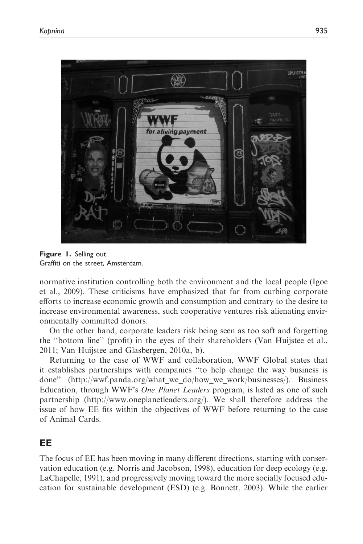

Figure 1. Selling out. Graffiti on the street, Amsterdam.

normative institution controlling both the environment and the local people (Igoe et al., 2009). These criticisms have emphasized that far from curbing corporate efforts to increase economic growth and consumption and contrary to the desire to increase environmental awareness, such cooperative ventures risk alienating environmentally committed donors.

On the other hand, corporate leaders risk being seen as too soft and forgetting the ''bottom line'' (profit) in the eyes of their shareholders (Van Huijstee et al., 2011; Van Huijstee and Glasbergen, 2010a, b).

Returning to the case of WWF and collaboration, WWF Global states that it establishes partnerships with companies ''to help change the way business is done'' [\(http://wwf.panda.org/what\\_we\\_do/how\\_we\\_work/businesses/\)](http://wwf.panda.org/what_we_do/how_we_work/businesses/). Business Education, through WWF's One Planet Leaders program, is listed as one of such partnership ([http://www.oneplanetleaders.org/\)](http://www.oneplanetleaders.org/). We shall therefore address the issue of how EE fits within the objectives of WWF before returning to the case of Animal Cards.

# EE

The focus of EE has been moving in many different directions, starting with conservation education (e.g. Norris and Jacobson, 1998), education for deep ecology (e.g. LaChapelle, 1991), and progressively moving toward the more socially focused education for sustainable development (ESD) (e.g. Bonnett, 2003). While the earlier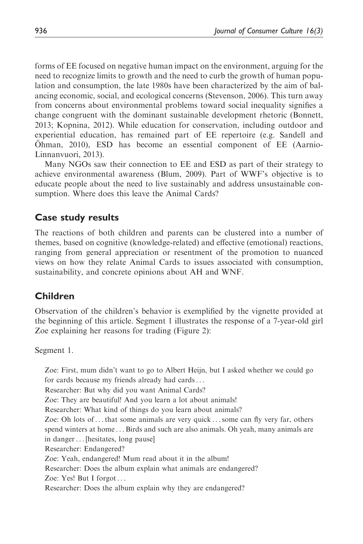forms of EE focused on negative human impact on the environment, arguing for the need to recognize limits to growth and the need to curb the growth of human population and consumption, the late 1980s have been characterized by the aim of balancing economic, social, and ecological concerns (Stevenson, 2006). This turn away from concerns about environmental problems toward social inequality signifies a change congruent with the dominant sustainable development rhetoric (Bonnett, 2013; Kopnina, 2012). While education for conservation, including outdoor and experiential education, has remained part of EE repertoire (e.g. Sandell and Ohman, 2010), ESD has become an essential component of  $EE$  (Aarnio-Linnanvuori, 2013).

Many NGOs saw their connection to EE and ESD as part of their strategy to achieve environmental awareness (Blum, 2009). Part of WWF's objective is to educate people about the need to live sustainably and address unsustainable consumption. Where does this leave the Animal Cards?

# Case study results

The reactions of both children and parents can be clustered into a number of themes, based on cognitive (knowledge-related) and effective (emotional) reactions, ranging from general appreciation or resentment of the promotion to nuanced views on how they relate Animal Cards to issues associated with consumption, sustainability, and concrete opinions about AH and WNF.

## Children

Observation of the children's behavior is exemplified by the vignette provided at the beginning of this article. Segment 1 illustrates the response of a 7-year-old girl Zoe explaining her reasons for trading (Figure 2):

Segment 1.

Zoe: First, mum didn't want to go to Albert Heijn, but I asked whether we could go for cards because my friends already had cards... Researcher: But why did you want Animal Cards? Zoe: They are beautiful! And you learn a lot about animals! Researcher: What kind of things do you learn about animals? Zoe: Oh lots of...that some animals are very quick...some can fly very far, others spend winters at home ...Birds and such are also animals. Oh yeah, many animals are in danger... [hesitates, long pause] Researcher: Endangered? Zoe: Yeah, endangered! Mum read about it in the album! Researcher: Does the album explain what animals are endangered? Zoe: Yes! But I forgot... Researcher: Does the album explain why they are endangered?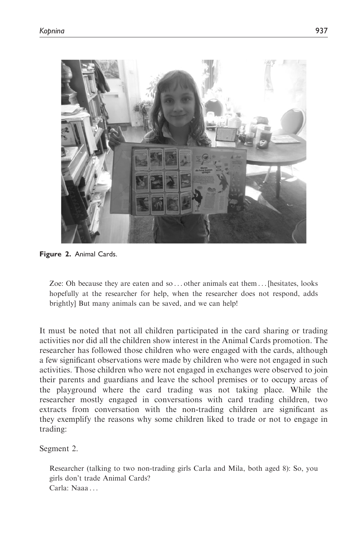

Figure 2. Animal Cards.

Zoe: Oh because they are eaten and so ... other animals eat them ... [hesitates, looks hopefully at the researcher for help, when the researcher does not respond, adds brightly] But many animals can be saved, and we can help!

It must be noted that not all children participated in the card sharing or trading activities nor did all the children show interest in the Animal Cards promotion. The researcher has followed those children who were engaged with the cards, although a few significant observations were made by children who were not engaged in such activities. Those children who were not engaged in exchanges were observed to join their parents and guardians and leave the school premises or to occupy areas of the playground where the card trading was not taking place. While the researcher mostly engaged in conversations with card trading children, two extracts from conversation with the non-trading children are significant as they exemplify the reasons why some children liked to trade or not to engage in trading:

Segment 2.

Researcher (talking to two non-trading girls Carla and Mila, both aged 8): So, you girls don't trade Animal Cards? Carla: Naaa ...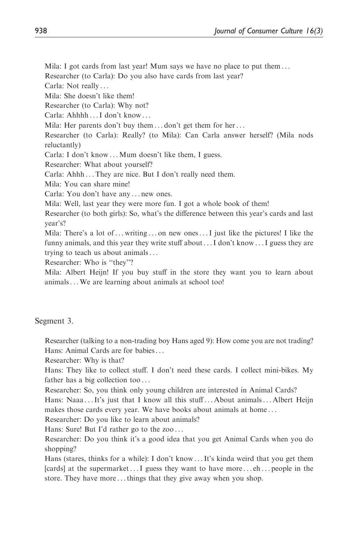Mila: I got cards from last year! Mum says we have no place to put them ...

Researcher (to Carla): Do you also have cards from last year?

Carla: Not really ...

Mila: She doesn't like them!

Researcher (to Carla): Why not?

Carla: Ahhhh ...I don't know ...

Mila: Her parents don't buy them ... don't get them for her...

Researcher (to Carla): Really? (to Mila): Can Carla answer herself? (Mila nods reluctantly)

Carla: I don't know ... Mum doesn't like them, I guess.

Researcher: What about yourself?

Carla: Ahhh ... They are nice. But I don't really need them.

Mila: You can share mine!

Carla: You don't have any ... new ones.

Mila: Well, last year they were more fun. I got a whole book of them!

Researcher (to both girls): So, what's the difference between this year's cards and last year's?

Mila: There's a lot of... writing ... on new ones...I just like the pictures! I like the funny animals, and this year they write stuff about ...I don't know ...I guess they are trying to teach us about animals...

Researcher: Who is ''they''?

Mila: Albert Heijn! If you buy stuff in the store they want you to learn about animals... We are learning about animals at school too!

Segment 3.

Researcher (talking to a non-trading boy Hans aged 9): How come you are not trading? Hans: Animal Cards are for babies...

Researcher: Why is that?

Hans: They like to collect stuff. I don't need these cards. I collect mini-bikes. My father has a big collection too ...

Researcher: So, you think only young children are interested in Animal Cards?

Hans: Naaa ...It's just that I know all this stuff ... About animals... Albert Heijn makes those cards every year. We have books about animals at home ...

Researcher: Do you like to learn about animals?

Hans: Sure! But I'd rather go to the zoo...

Researcher: Do you think it's a good idea that you get Animal Cards when you do shopping?

Hans (stares, thinks for a while): I don't know ...It's kinda weird that you get them [cards] at the supermarket ...I guess they want to have more ... eh ... people in the store. They have more ...things that they give away when you shop.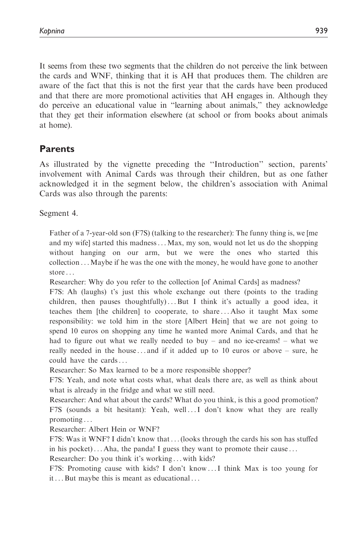It seems from these two segments that the children do not perceive the link between the cards and WNF, thinking that it is AH that produces them. The children are aware of the fact that this is not the first year that the cards have been produced and that there are more promotional activities that AH engages in. Although they do perceive an educational value in ''learning about animals,'' they acknowledge that they get their information elsewhere (at school or from books about animals at home).

# Parents

As illustrated by the vignette preceding the ''Introduction'' section, parents' involvement with Animal Cards was through their children, but as one father acknowledged it in the segment below, the children's association with Animal Cards was also through the parents:

Segment 4.

Father of a 7-year-old son (F7S) (talking to the researcher): The funny thing is, we [me and my wife] started this madness... Max, my son, would not let us do the shopping without hanging on our arm, but we were the ones who started this collection ... Maybe if he was the one with the money, he would have gone to another store ...

Researcher: Why do you refer to the collection [of Animal Cards] as madness?

F7S: Ah (laughs) t's just this whole exchange out there (points to the trading children, then pauses thoughtfully) ...But I think it's actually a good idea, it teaches them [the children] to cooperate, to share ... Also it taught Max some responsibility: we told him in the store [Albert Hein] that we are not going to spend 10 euros on shopping any time he wanted more Animal Cards, and that he had to figure out what we really needed to buy – and no ice-creams! – what we really needed in the house ... and if it added up to 10 euros or above – sure, he could have the cards...

Researcher: So Max learned to be a more responsible shopper?

F7S: Yeah, and note what costs what, what deals there are, as well as think about what is already in the fridge and what we still need.

Researcher: And what about the cards? What do you think, is this a good promotion? F7S (sounds a bit hesitant): Yeah, well ...I don't know what they are really promoting ...

Researcher: Albert Hein or WNF?

F7S: Was it WNF? I didn't know that ...(looks through the cards his son has stuffed in his pocket) ... Aha, the panda! I guess they want to promote their cause ...

Researcher: Do you think it's working ... with kids?

F7S: Promoting cause with kids? I don't know ...I think Max is too young for it ...But maybe this is meant as educational ...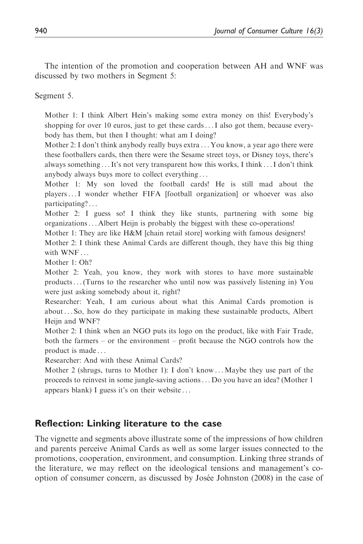The intention of the promotion and cooperation between AH and WNF was discussed by two mothers in Segment 5:

Segment 5.

Mother 1: I think Albert Hein's making some extra money on this! Everybody's shopping for over 10 euros, just to get these cards...I also got them, because everybody has them, but then I thought: what am I doing?

Mother 2: I don't think anybody really buys extra ... You know, a year ago there were these footballers cards, then there were the Sesame street toys, or Disney toys, there's always something ...It's not very transparent how this works, I think ...I don't think anybody always buys more to collect everything ...

Mother 1: My son loved the football cards! He is still mad about the players...I wonder whether FIFA [football organization] or whoever was also participating?...

Mother 2: I guess so! I think they like stunts, partnering with some big organizations... Albert Heijn is probably the biggest with these co-operations!

Mother 1: They are like H&M [chain retail store] working with famous designers!

Mother 2: I think these Animal Cards are different though, they have this big thing with WNF...

Mother 1: Oh?

Mother 2: Yeah, you know, they work with stores to have more sustainable products...(Turns to the researcher who until now was passively listening in) You were just asking somebody about it, right?

Researcher: Yeah, I am curious about what this Animal Cards promotion is about ... So, how do they participate in making these sustainable products, Albert Heijn and WNF?

Mother 2: I think when an NGO puts its logo on the product, like with Fair Trade, both the farmers – or the environment – profit because the NGO controls how the product is made ...

Researcher: And with these Animal Cards?

Mother 2 (shrugs, turns to Mother 1): I don't know ... Maybe they use part of the proceeds to reinvest in some jungle-saving actions... Do you have an idea? (Mother 1 appears blank) I guess it's on their website ...

## Reflection: Linking literature to the case

The vignette and segments above illustrate some of the impressions of how children and parents perceive Animal Cards as well as some larger issues connected to the promotions, cooperation, environment, and consumption. Linking three strands of the literature, we may reflect on the ideological tensions and management's cooption of consumer concern, as discussed by Josée Johnston (2008) in the case of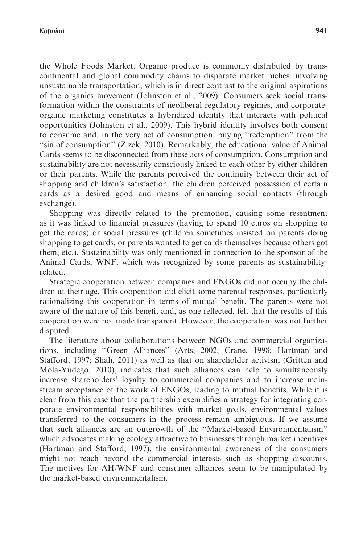the Whole Foods Market. Organic produce is commonly distributed by transcontinental and global commodity chains to disparate market niches, involving unsustainable transportation, which is in direct contrast to the original aspirations of the organics movement (Johnston et al., 2009). Consumers seek social transformation within the constraints of neoliberal regulatory regimes, and corporateorganic marketing constitutes a hybridized identity that interacts with political opportunities (Johnston et al., 2009). This hybrid identity involves both consent to consume and, in the very act of consumption, buying ''redemption'' from the ''sin of consumption'' (Zizek, 2010). Remarkably, the educational value of Animal Cards seems to be disconnected from these acts of consumption. Consumption and sustainability are not necessarily consciously linked to each other by either children or their parents. While the parents perceived the continuity between their act of shopping and children's satisfaction, the children perceived possession of certain cards as a desired good and means of enhancing social contacts (through exchange).

Shopping was directly related to the promotion, causing some resentment as it was linked to financial pressures (having to spend 10 euros on shopping to get the cards) or social pressures (children sometimes insisted on parents doing shopping to get cards, or parents wanted to get cards themselves because others got them, etc.). Sustainability was only mentioned in connection to the sponsor of the Animal Cards, WNF, which was recognized by some parents as sustainabilityrelated.

Strategic cooperation between companies and ENGOs did not occupy the children at their age. This cooperation did elicit some parental responses, particularly rationalizing this cooperation in terms of mutual benefit. The parents were not aware of the nature of this benefit and, as one reflected, felt that the results of this cooperation were not made transparent. However, the cooperation was not further disputed.

The literature about collaborations between NGOs and commercial organizations, including ''Green Alliances'' (Arts, 2002; Crane, 1998; Hartman and Stafford, 1997; Shah, 2011) as well as that on shareholder activism (Gritten and Mola-Yudego, 2010), indicates that such alliances can help to simultaneously increase shareholders' loyalty to commercial companies and to increase mainstream acceptance of the work of ENGOs, leading to mutual benefits. While it is clear from this case that the partnership exemplifies a strategy for integrating corporate environmental responsibilities with market goals, environmental values transferred to the consumers in the process remain ambiguous. If we assume that such alliances are an outgrowth of the ''Market-based Environmentalism'' which advocates making ecology attractive to businesses through market incentives (Hartman and Stafford, 1997), the environmental awareness of the consumers might not reach beyond the commercial interests such as shopping discounts. The motives for AH/WNF and consumer alliances seem to be manipulated by the market-based environmentalism.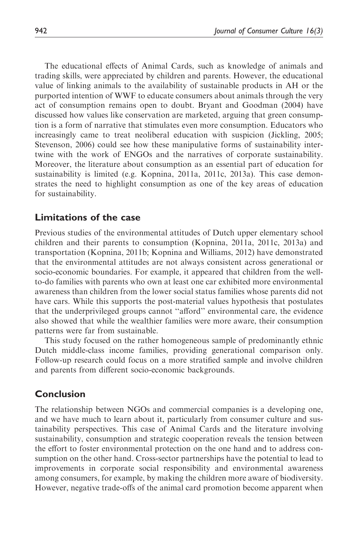The educational effects of Animal Cards, such as knowledge of animals and trading skills, were appreciated by children and parents. However, the educational value of linking animals to the availability of sustainable products in AH or the purported intention of WWF to educate consumers about animals through the very act of consumption remains open to doubt. Bryant and Goodman (2004) have discussed how values like conservation are marketed, arguing that green consumption is a form of narrative that stimulates even more consumption. Educators who increasingly came to treat neoliberal education with suspicion (Jickling, 2005; Stevenson, 2006) could see how these manipulative forms of sustainability intertwine with the work of ENGOs and the narratives of corporate sustainability. Moreover, the literature about consumption as an essential part of education for sustainability is limited (e.g. Kopnina, 2011a, 2011c, 2013a). This case demonstrates the need to highlight consumption as one of the key areas of education for sustainability.

### Limitations of the case

Previous studies of the environmental attitudes of Dutch upper elementary school children and their parents to consumption (Kopnina, 2011a, 2011c, 2013a) and transportation (Kopnina, 2011b; Kopnina and Williams, 2012) have demonstrated that the environmental attitudes are not always consistent across generational or socio-economic boundaries. For example, it appeared that children from the wellto-do families with parents who own at least one car exhibited more environmental awareness than children from the lower social status families whose parents did not have cars. While this supports the post-material values hypothesis that postulates that the underprivileged groups cannot ''afford'' environmental care, the evidence also showed that while the wealthier families were more aware, their consumption patterns were far from sustainable.

This study focused on the rather homogeneous sample of predominantly ethnic Dutch middle-class income families, providing generational comparison only. Follow-up research could focus on a more stratified sample and involve children and parents from different socio-economic backgrounds.

# Conclusion

The relationship between NGOs and commercial companies is a developing one, and we have much to learn about it, particularly from consumer culture and sustainability perspectives. This case of Animal Cards and the literature involving sustainability, consumption and strategic cooperation reveals the tension between the effort to foster environmental protection on the one hand and to address consumption on the other hand. Cross-sector partnerships have the potential to lead to improvements in corporate social responsibility and environmental awareness among consumers, for example, by making the children more aware of biodiversity. However, negative trade-offs of the animal card promotion become apparent when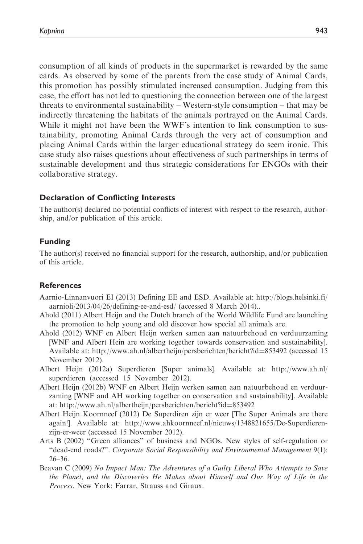consumption of all kinds of products in the supermarket is rewarded by the same cards. As observed by some of the parents from the case study of Animal Cards, this promotion has possibly stimulated increased consumption. Judging from this case, the effort has not led to questioning the connection between one of the largest threats to environmental sustainability – Western-style consumption – that may be indirectly threatening the habitats of the animals portrayed on the Animal Cards. While it might not have been the WWF's intention to link consumption to sustainability, promoting Animal Cards through the very act of consumption and placing Animal Cards within the larger educational strategy do seem ironic. This case study also raises questions about effectiveness of such partnerships in terms of sustainable development and thus strategic considerations for ENGOs with their collaborative strategy.

#### Declaration of Conflicting Interests

The author(s) declared no potential conflicts of interest with respect to the research, authorship, and/or publication of this article.

#### Funding

The author(s) received no financial support for the research, authorship, and/or publication of this article.

#### References

- Aarnio-Linnanvuori EI (2013) Defining EE and ESD. Available at: [http://blogs.helsinki.fi/](http://blogs.helsinki.fi/aarnioli/2013/04/26/defining-ee-and-esd/) [aarnioli/2013/04/26/defining-ee-and-esd/](http://blogs.helsinki.fi/aarnioli/2013/04/26/defining-ee-and-esd/) (accessed 8 March 2014)..
- Ahold (2011) Albert Heijn and the Dutch branch of the World Wildlife Fund are launching the promotion to help young and old discover how special all animals are.
- Ahold (2012) WNF en Albert Heijn werken samen aan natuurbehoud en verduurzaming [WNF and Albert Hein are working together towards conservation and sustainability]. Available at: [http://www.ah.nl/albertheijn/persberichten/bericht?id](http://www.ah.nl/albertheijn/persberichten/bericht?id853492)=[853492](http://www.ah.nl/albertheijn/persberichten/bericht?id853492) (accessed 15 November 2012).
- Albert Heijn (2012a) Superdieren [Super animals]. Available at: [http://www.ah.nl/](http://www.ah.nl/superdieren) [superdieren](http://www.ah.nl/superdieren) (accessed 15 November 2012).
- Albert Heijn (2012b) WNF en Albert Heijn werken samen aan natuurbehoud en verduurzaming [WNF and AH working together on conservation and sustainability]. Available at: [http://www.ah.nl/albertheijn/persberichten/bericht?id](http://www.ah.nl/albertheijn/persberichten/bericht?id853492)=[853492](http://www.ah.nl/albertheijn/persberichten/bericht?id853492)
- Albert Heijn Koornneef (2012) De Superdiren zijn er weer [The Super Animals are there again!]. Available at: [http://www.ahkoornneef.nl/nieuws/1348821655/De-Superdieren](http://www.ahkoornneef.nl/nieuws/1348821655/De-Superdieren-zijn-er-weer)[zijn-er-weer](http://www.ahkoornneef.nl/nieuws/1348821655/De-Superdieren-zijn-er-weer) (accessed 15 November 2012).
- Arts B (2002) ''Green alliances'' of business and NGOs. New styles of self-regulation or ''dead-end roads?''. Corporate Social Responsibility and Environmental Management 9(1): 26–36.
- Beavan C (2009) No Impact Man: The Adventures of a Guilty Liberal Who Attempts to Save the Planet, and the Discoveries He Makes about Himself and Our Way of Life in the Process. New York: Farrar, Strauss and Giraux.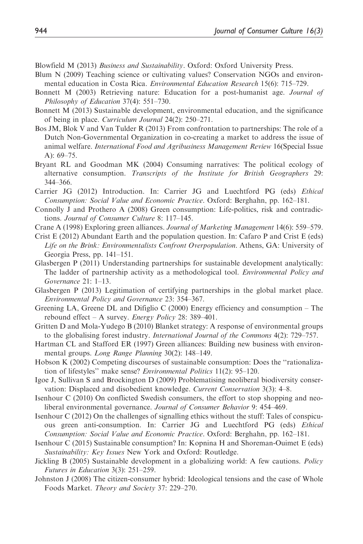Blowfield M (2013) Business and Sustainability. Oxford: Oxford University Press.

- Blum N (2009) Teaching science or cultivating values? Conservation NGOs and environmental education in Costa Rica. Environmental Education Research 15(6): 715–729.
- Bonnett M (2003) Retrieving nature: Education for a post-humanist age. Journal of Philosophy of Education 37(4): 551–730.
- Bonnett M (2013) Sustainable development, environmental education, and the significance of being in place. Curriculum Journal 24(2): 250–271.
- Bos JM, Blok V and Van Tulder R (2013) From confrontation to partnerships: The role of a Dutch Non-Governmental Organization in co-creating a market to address the issue of animal welfare. International Food and Agribusiness Management Review 16(Special Issue A): 69–75.
- Bryant RL and Goodman MK (2004) Consuming narratives: The political ecology of alternative consumption. Transcripts of the Institute for British Geographers 29: 344–366.
- Carrier JG (2012) Introduction. In: Carrier JG and Luechtford PG (eds) Ethical Consumption: Social Value and Economic Practice. Oxford: Berghahn, pp. 162–181.
- Connolly J and Prothero A (2008) Green consumption: Life-politics, risk and contradictions. Journal of Consumer Culture 8: 117–145.
- Crane A (1998) Exploring green alliances. Journal of Marketing Management 14(6): 559–579.
- Crist E (2012) Abundant Earth and the population question. In: Cafaro P and Crist E (eds) Life on the Brink: Environmentalists Confront Overpopulation. Athens, GA: University of Georgia Press, pp. 141–151.
- Glasbergen P (2011) Understanding partnerships for sustainable development analytically: The ladder of partnership activity as a methodological tool. Environmental Policy and Governance 21: 1–13.
- Glasbergen P (2013) Legitimation of certifying partnerships in the global market place. Environmental Policy and Governance 23: 354–367.
- Greening LA, Greene DL and Difiglio C (2000) Energy efficiency and consumption The rebound effect – A survey. *Energy Policy* 28: 389–401.
- Gritten D and Mola-Yudego B (2010) Blanket strategy: A response of environmental groups to the globalising forest industry. International Journal of the Commons 4(2): 729–757.
- Hartman CL and Stafford ER (1997) Green alliances: Building new business with environmental groups. Long Range Planning 30(2): 148–149.
- Hobson K (2002) Competing discourses of sustainable consumption: Does the ''rationalization of lifestyles'' make sense? Environmental Politics 11(2): 95–120.
- Igoe J, Sullivan S and Brockington D (2009) Problematising neoliberal biodiversity conservation: Displaced and disobedient knowledge. Current Conservation 3(3): 4–8.
- Isenhour C (2010) On conflicted Swedish consumers, the effort to stop shopping and neoliberal environmental governance. Journal of Consumer Behavior 9: 454–469.
- Isenhour C (2012) On the challenges of signalling ethics without the stuff: Tales of conspicuous green anti-consumption. In: Carrier JG and Luechtford PG (eds) Ethical Consumption: Social Value and Economic Practice. Oxford: Berghahn, pp. 162–181.
- Isenhour C (2015) Sustainable consumption? In: Kopnina H and Shoreman-Ouimet E (eds) Sustainability: Key Issues New York and Oxford: Routledge.
- Jickling B (2005) Sustainable development in a globalizing world: A few cautions. Policy Futures in Education 3(3): 251–259.
- Johnston J (2008) The citizen-consumer hybrid: Ideological tensions and the case of Whole Foods Market. Theory and Society 37: 229–270.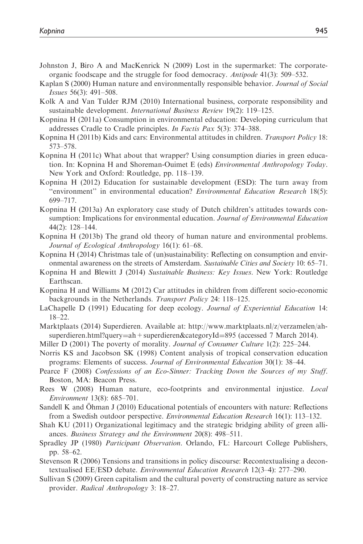- Johnston J, Biro A and MacKenrick N (2009) Lost in the supermarket: The corporateorganic foodscape and the struggle for food democracy. Antipode 41(3): 509–532.
- Kaplan S (2000) Human nature and environmentally responsible behavior. Journal of Social Issues 56(3): 491–508.
- Kolk A and Van Tulder RJM (2010) International business, corporate responsibility and sustainable development. International Business Review 19(2): 119–125.
- Kopnina H (2011a) Consumption in environmental education: Developing curriculum that addresses Cradle to Cradle principles. In Factis Pax 5(3): 374–388.
- Kopnina H (2011b) Kids and cars: Environmental attitudes in children. Transport Policy 18: 573–578.
- Kopnina H (2011c) What about that wrapper? Using consumption diaries in green education. In: Kopnina H and Shoreman-Ouimet E (eds) Environmental Anthropology Today. New York and Oxford: Routledge, pp. 118–139.
- Kopnina H (2012) Education for sustainable development (ESD): The turn away from ''environment'' in environmental education? Environmental Education Research 18(5): 699–717.
- Kopnina H (2013a) An exploratory case study of Dutch children's attitudes towards consumption: Implications for environmental education. Journal of Environmental Education 44(2): 128–144.
- Kopnina H (2013b) The grand old theory of human nature and environmental problems. Journal of Ecological Anthropology 16(1): 61–68.
- Kopnina H (2014) Christmas tale of (un)sustainability: Reflecting on consumption and environmental awareness on the streets of Amsterdam. Sustainable Cities and Society 10: 65–71.
- Kopnina H and Blewitt J (2014) Sustainable Business: Key Issues. New York: Routledge Earthscan.
- Kopnina H and Williams M (2012) Car attitudes in children from different socio-economic backgrounds in the Netherlands. Transport Policy 24: 118–125.
- LaChapelle D (1991) Educating for deep ecology. Journal of Experiential Education 14: 18–22.
- Marktplaats (2014) Superdieren. Available at: [http://www.marktplaats.nl/z/verzamelen/ah](http://www.marktplaats.nl/z/verzamelen/ah-superdieren.html?queryahsuperdieren&categoryId895)[superdieren.html?query](http://www.marktplaats.nl/z/verzamelen/ah-superdieren.html?queryahsuperdieren&categoryId895)=ah + superdieren&categoryId=[895](http://www.marktplaats.nl/z/verzamelen/ah-superdieren.html?queryahsuperdieren&categoryId895) (accessed 7 March 2014).
- Miller D (2001) The poverty of morality. Journal of Consumer Culture 1(2): 225–244.
- Norris KS and Jacobson SK (1998) Content analysis of tropical conservation education programs: Elements of success. Journal of Environmental Education 30(1): 38–44.
- Pearce F (2008) Confessions of an Eco-Sinner: Tracking Down the Sources of my Stuff. Boston, MA: Beacon Press.
- Rees W (2008) Human nature, eco-footprints and environmental injustice. Local Environment 13(8): 685–701.
- Sandell K and Ohman J (2010) Educational potentials of encounters with nature: Reflections from a Swedish outdoor perspective. Environmental Education Research 16(1): 113–132.
- Shah KU (2011) Organizational legitimacy and the strategic bridging ability of green alliances. Business Strategy and the Environment 20(8): 498–511.
- Spradley JP (1980) Participant Observation. Orlando, FL: Harcourt College Publishers, pp. 58–62.
- Stevenson R (2006) Tensions and transitions in policy discourse: Recontextualising a decontextualised EE/ESD debate. Environmental Education Research 12(3–4): 277–290.
- Sullivan S (2009) Green capitalism and the cultural poverty of constructing nature as service provider. Radical Anthropology 3: 18–27.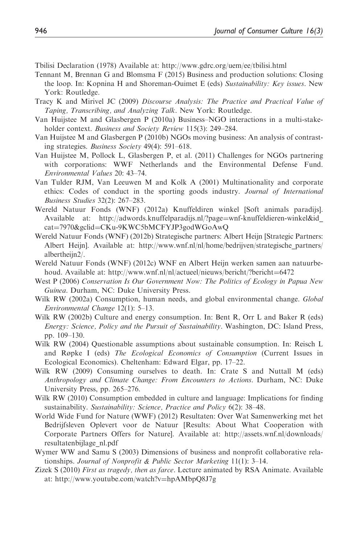Tbilisi Declaration (1978) Available at:<http://www.gdrc.org/uem/ee/tbilisi.html>

- Tennant M, Brennan G and Blomsma F (2015) Business and production solutions: Closing the loop. In: Kopnina H and Shoreman-Ouimet E (eds) Sustainability: Key issues. New York: Routledge.
- Tracy K and Mirivel JC (2009) Discourse Analysis: The Practice and Practical Value of Taping, Transcribing, and Analyzing Talk. New York: Routledge.
- Van Huijstee M and Glasbergen P (2010a) Business–NGO interactions in a multi-stakeholder context. Business and Society Review 115(3): 249–284.
- Van Huijstee M and Glasbergen P (2010b) NGOs moving business: An analysis of contrasting strategies. Business Society 49(4): 591–618.
- Van Huijstee M, Pollock L, Glasbergen P, et al. (2011) Challenges for NGOs partnering with corporations: WWF Netherlands and the Environmental Defense Fund. Environmental Values 20: 43–74.
- Van Tulder RJM, Van Leeuwen M and Kolk A (2001) Multinationality and corporate ethics: Codes of conduct in the sporting goods industry. Journal of International Business Studies 32(2): 267–283.
- Wereld Natuur Fonds (WNF) (2012a) Knuffeldiren winkel [Soft animals paradijs]. Available at: [http://adwords.knuffelparadijs.nl/?page](http://adwords.knuffelparadijs.nl/?pagewnf-knuffeldieren-winkel&id_cat7970&gclidCKu-9KWC5bMCFYJP3godWGoAwQ)=wnf-knuffeldieren-winkel&id [cat](http://adwords.knuffelparadijs.nl/?pagewnf-knuffeldieren-winkel&id_cat7970&gclidCKu-9KWC5bMCFYJP3godWGoAwQ)=[7970&gclid](http://adwords.knuffelparadijs.nl/?pagewnf-knuffeldieren-winkel&id_cat7970&gclidCKu-9KWC5bMCFYJP3godWGoAwQ)=[CKu-9KWC5bMCFYJP3godWGoAwQ](http://adwords.knuffelparadijs.nl/?pagewnf-knuffeldieren-winkel&id_cat7970&gclidCKu-9KWC5bMCFYJP3godWGoAwQ)
- Wereld Natuur Fonds (WNF) (2012b) Strategische partners: Albert Heijn [Strategic Partners: Albert Heijn]. Available at: [http://www.wnf.nl/nl/home/bedrijven/strategische\\_partners/](http://www.wnf.nl/nl/home/bedrijven/strategische_partners/albertheijn2/) [albertheijn2/](http://www.wnf.nl/nl/home/bedrijven/strategische_partners/albertheijn2/).
- Wereld Natuur Fonds (WNF) (2012c) WNF en Albert Heijn werken samen aan natuurbehoud. Available at: [http://www.wnf.nl/nl/actueel/nieuws/bericht/?bericht](http://www.wnf.nl/nl/actueel/nieuws/bericht/?bericht6472)=[6472](http://www.wnf.nl/nl/actueel/nieuws/bericht/?bericht6472)
- West P (2006) Conservation Is Our Government Now: The Politics of Ecology in Papua New Guinea. Durham, NC: Duke University Press.
- Wilk RW (2002a) Consumption, human needs, and global environmental change. Global Environmental Change 12(1): 5–13.
- Wilk RW (2002b) Culture and energy consumption. In: Bent R, Orr L and Baker R (eds) Energy: Science, Policy and the Pursuit of Sustainability. Washington, DC: Island Press, pp. 109–130.
- Wilk RW (2004) Questionable assumptions about sustainable consumption. In: Reisch L and Røpke I (eds) The Ecological Economics of Consumption (Current Issues in Ecological Economics). Cheltenham: Edward Elgar, pp. 17–22.
- Wilk RW (2009) Consuming ourselves to death. In: Crate S and Nuttall M (eds) Anthropology and Climate Change: From Encounters to Actions. Durham, NC: Duke University Press, pp. 265–276.
- Wilk RW (2010) Consumption embedded in culture and language: Implications for finding sustainability. Sustainability: Science, Practice and Policy 6(2): 38-48.
- World Wide Fund for Nature (WWF) (2012) Resultaten: Over Wat Samenwerking met het Bedrijfsleven Oplevert voor de Natuur [Results: About What Cooperation with Corporate Partners Offers for Nature]. Available at: [http://assets.wnf.nl/downloads/](http://assets.wnf.nl/downloads/resultatenbijlage_nl.pdf) [resultatenbijlage\\_nl.pdf](http://assets.wnf.nl/downloads/resultatenbijlage_nl.pdf)
- Wymer WW and Samu S (2003) Dimensions of business and nonprofit collaborative relationships. Journal of Nonprofit & Public Sector Marketing  $11(1)$ : 3-14.
- Zizek S (2010) First as tragedy, then as farce. Lecture animated by RSA Animate. Available at: [http://www.youtube.com/watch?v](http://www.youtube.com/watch?vhpAMbpQ8J7g)=[hpAMbpQ8J7g](http://www.youtube.com/watch?vhpAMbpQ8J7g)